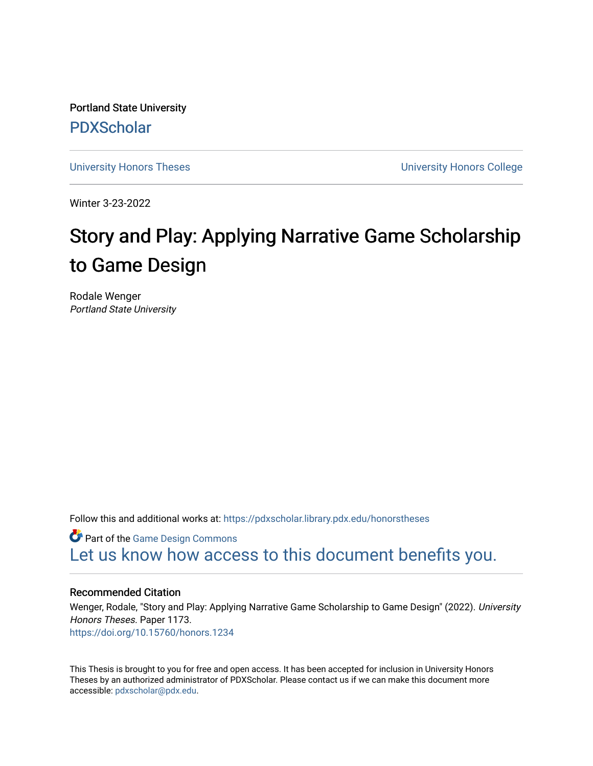Portland State University [PDXScholar](https://pdxscholar.library.pdx.edu/)

[University Honors Theses](https://pdxscholar.library.pdx.edu/honorstheses) [University Honors College](https://pdxscholar.library.pdx.edu/honors) 

Winter 3-23-2022

# Story and Play: Applying Narrative Game Scholarship to Game Design

Rodale Wenger Portland State University

Follow this and additional works at: [https://pdxscholar.library.pdx.edu/honorstheses](https://pdxscholar.library.pdx.edu/honorstheses?utm_source=pdxscholar.library.pdx.edu%2Fhonorstheses%2F1173&utm_medium=PDF&utm_campaign=PDFCoverPages) 

**Part of the [Game Design Commons](https://network.bepress.com/hgg/discipline/1133?utm_source=pdxscholar.library.pdx.edu%2Fhonorstheses%2F1173&utm_medium=PDF&utm_campaign=PDFCoverPages)** [Let us know how access to this document benefits you.](http://library.pdx.edu/services/pdxscholar-services/pdxscholar-feedback/) 

## Recommended Citation

Wenger, Rodale, "Story and Play: Applying Narrative Game Scholarship to Game Design" (2022). University Honors Theses. Paper 1173. <https://doi.org/10.15760/honors.1234>

This Thesis is brought to you for free and open access. It has been accepted for inclusion in University Honors Theses by an authorized administrator of PDXScholar. Please contact us if we can make this document more accessible: [pdxscholar@pdx.edu.](mailto:pdxscholar@pdx.edu)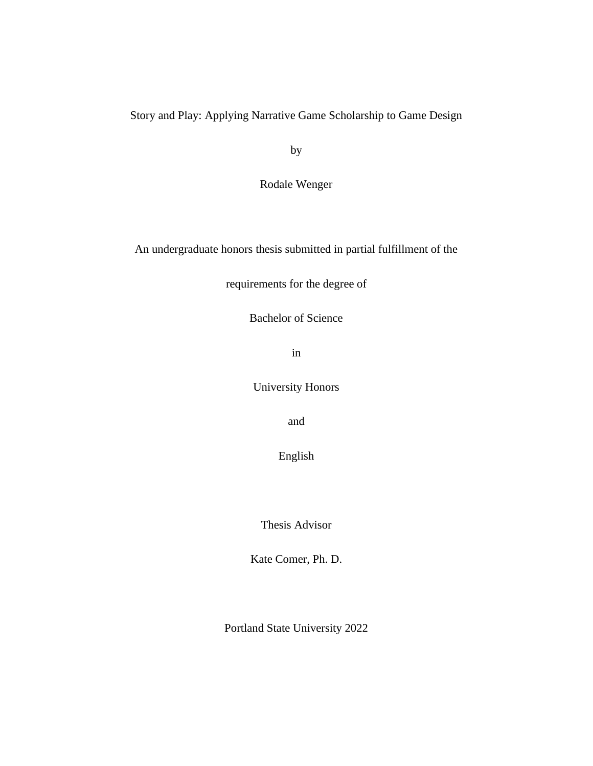Story and Play: Applying Narrative Game Scholarship to Game Design

by

Rodale Wenger

An undergraduate honors thesis submitted in partial fulfillment of the

requirements for the degree of

Bachelor of Science

in

University Honors

and

English

Thesis Advisor

Kate Comer, Ph. D.

Portland State University 2022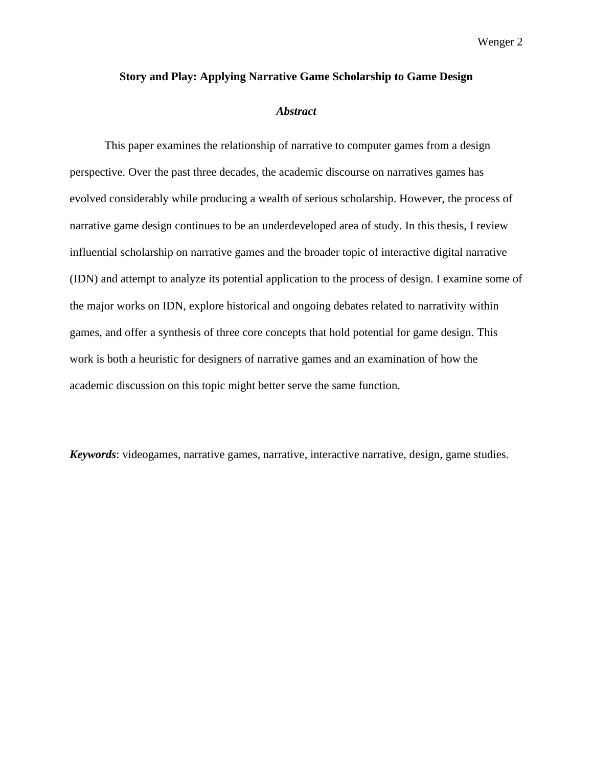#### **Story and Play: Applying Narrative Game Scholarship to Game Design**

#### *Abstract*

This paper examines the relationship of narrative to computer games from a design perspective. Over the past three decades, the academic discourse on narratives games has evolved considerably while producing a wealth of serious scholarship. However, the process of narrative game design continues to be an underdeveloped area of study. In this thesis, I review influential scholarship on narrative games and the broader topic of interactive digital narrative (IDN) and attempt to analyze its potential application to the process of design. I examine some of the major works on IDN, explore historical and ongoing debates related to narrativity within games, and offer a synthesis of three core concepts that hold potential for game design. This work is both a heuristic for designers of narrative games and an examination of how the academic discussion on this topic might better serve the same function.

*Keywords*: videogames, narrative games, narrative, interactive narrative, design, game studies.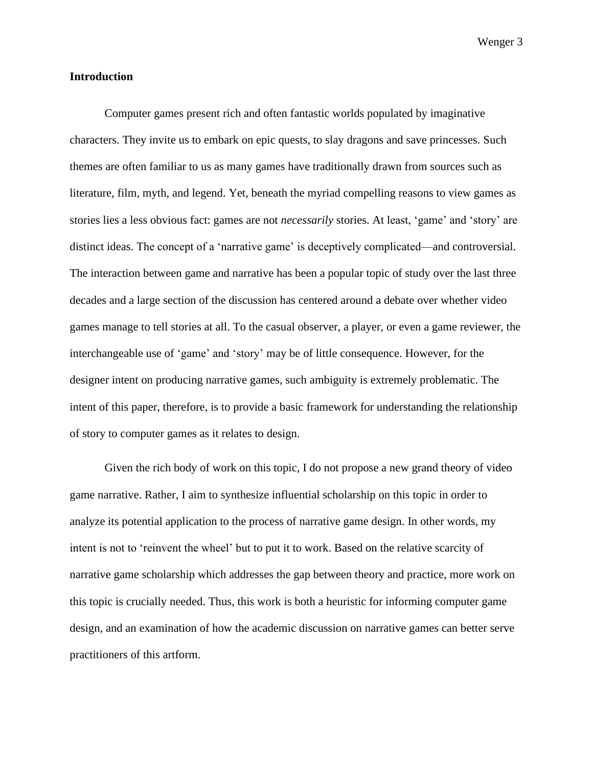## **Introduction**

Computer games present rich and often fantastic worlds populated by imaginative characters. They invite us to embark on epic quests, to slay dragons and save princesses. Such themes are often familiar to us as many games have traditionally drawn from sources such as literature, film, myth, and legend. Yet, beneath the myriad compelling reasons to view games as stories lies a less obvious fact: games are not *necessarily* stories. At least, 'game' and 'story' are distinct ideas. The concept of a 'narrative game' is deceptively complicated—and controversial. The interaction between game and narrative has been a popular topic of study over the last three decades and a large section of the discussion has centered around a debate over whether video games manage to tell stories at all. To the casual observer, a player, or even a game reviewer, the interchangeable use of 'game' and 'story' may be of little consequence. However, for the designer intent on producing narrative games, such ambiguity is extremely problematic. The intent of this paper, therefore, is to provide a basic framework for understanding the relationship of story to computer games as it relates to design.

Given the rich body of work on this topic, I do not propose a new grand theory of video game narrative. Rather, I aim to synthesize influential scholarship on this topic in order to analyze its potential application to the process of narrative game design. In other words, my intent is not to 'reinvent the wheel' but to put it to work. Based on the relative scarcity of narrative game scholarship which addresses the gap between theory and practice, more work on this topic is crucially needed. Thus, this work is both a heuristic for informing computer game design, and an examination of how the academic discussion on narrative games can better serve practitioners of this artform.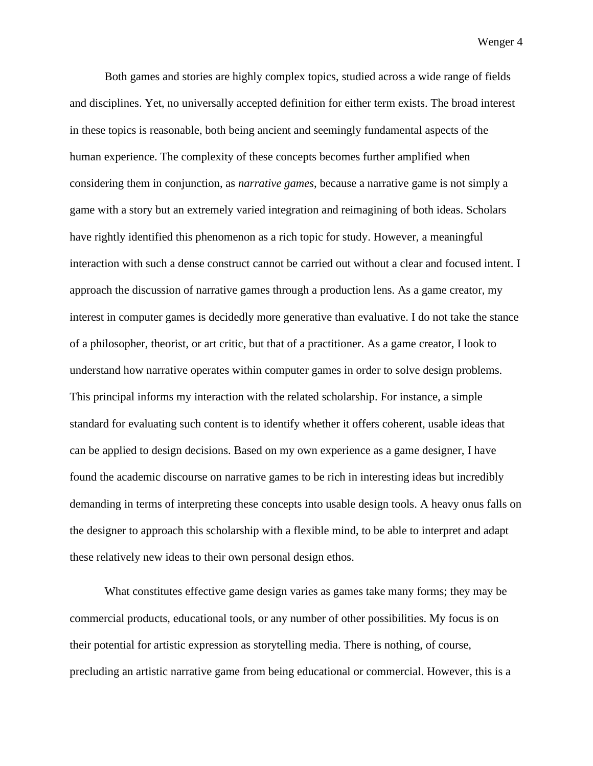Both games and stories are highly complex topics, studied across a wide range of fields and disciplines. Yet, no universally accepted definition for either term exists. The broad interest in these topics is reasonable, both being ancient and seemingly fundamental aspects of the human experience. The complexity of these concepts becomes further amplified when considering them in conjunction, as *narrative games*, because a narrative game is not simply a game with a story but an extremely varied integration and reimagining of both ideas. Scholars have rightly identified this phenomenon as a rich topic for study. However, a meaningful interaction with such a dense construct cannot be carried out without a clear and focused intent. I approach the discussion of narrative games through a production lens. As a game creator, my interest in computer games is decidedly more generative than evaluative. I do not take the stance of a philosopher, theorist, or art critic, but that of a practitioner. As a game creator, I look to understand how narrative operates within computer games in order to solve design problems. This principal informs my interaction with the related scholarship. For instance, a simple standard for evaluating such content is to identify whether it offers coherent, usable ideas that can be applied to design decisions. Based on my own experience as a game designer, I have found the academic discourse on narrative games to be rich in interesting ideas but incredibly demanding in terms of interpreting these concepts into usable design tools. A heavy onus falls on the designer to approach this scholarship with a flexible mind, to be able to interpret and adapt these relatively new ideas to their own personal design ethos.

What constitutes effective game design varies as games take many forms; they may be commercial products, educational tools, or any number of other possibilities. My focus is on their potential for artistic expression as storytelling media. There is nothing, of course, precluding an artistic narrative game from being educational or commercial. However, this is a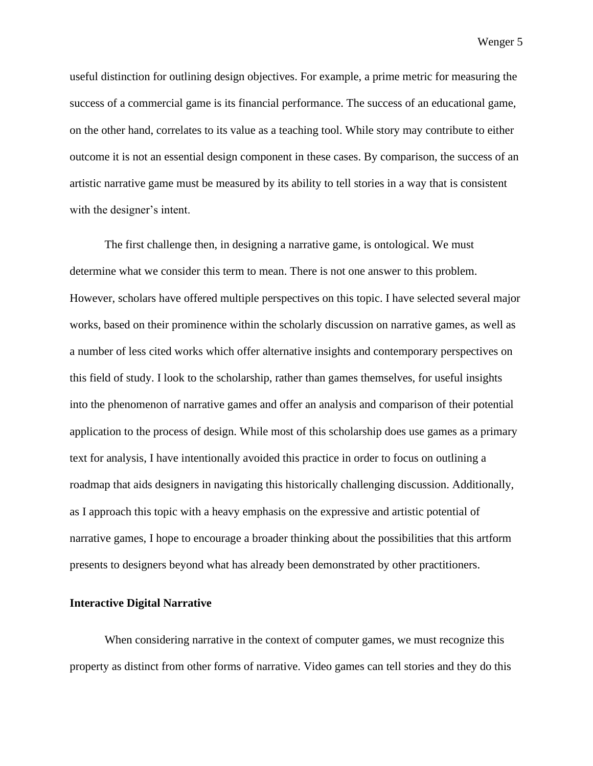useful distinction for outlining design objectives. For example, a prime metric for measuring the success of a commercial game is its financial performance. The success of an educational game, on the other hand, correlates to its value as a teaching tool. While story may contribute to either outcome it is not an essential design component in these cases. By comparison, the success of an artistic narrative game must be measured by its ability to tell stories in a way that is consistent with the designer's intent.

The first challenge then, in designing a narrative game, is ontological. We must determine what we consider this term to mean. There is not one answer to this problem. However, scholars have offered multiple perspectives on this topic. I have selected several major works, based on their prominence within the scholarly discussion on narrative games, as well as a number of less cited works which offer alternative insights and contemporary perspectives on this field of study. I look to the scholarship, rather than games themselves, for useful insights into the phenomenon of narrative games and offer an analysis and comparison of their potential application to the process of design. While most of this scholarship does use games as a primary text for analysis, I have intentionally avoided this practice in order to focus on outlining a roadmap that aids designers in navigating this historically challenging discussion. Additionally, as I approach this topic with a heavy emphasis on the expressive and artistic potential of narrative games, I hope to encourage a broader thinking about the possibilities that this artform presents to designers beyond what has already been demonstrated by other practitioners.

## **Interactive Digital Narrative**

When considering narrative in the context of computer games, we must recognize this property as distinct from other forms of narrative. Video games can tell stories and they do this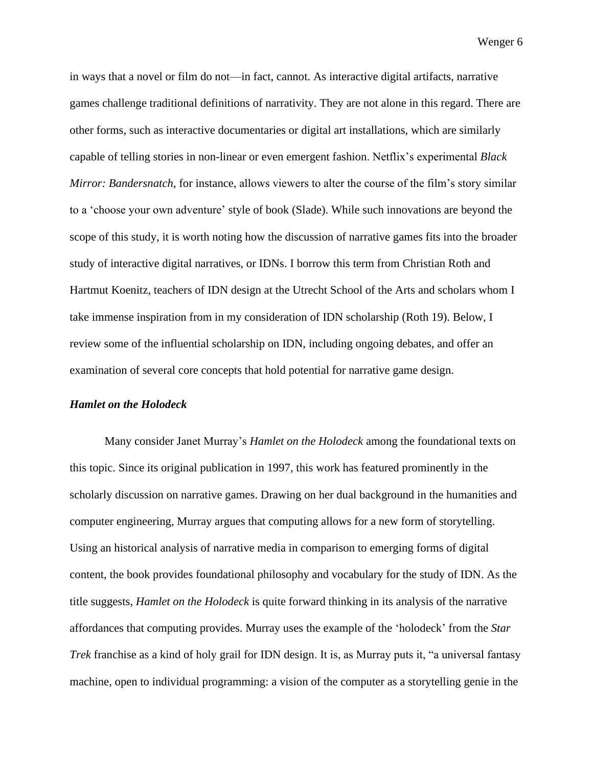in ways that a novel or film do not—in fact, cannot. As interactive digital artifacts, narrative games challenge traditional definitions of narrativity. They are not alone in this regard. There are other forms, such as interactive documentaries or digital art installations, which are similarly capable of telling stories in non-linear or even emergent fashion. Netflix's experimental *Black Mirror: Bandersnatch*, for instance, allows viewers to alter the course of the film's story similar to a 'choose your own adventure' style of book (Slade). While such innovations are beyond the scope of this study, it is worth noting how the discussion of narrative games fits into the broader study of interactive digital narratives, or IDNs. I borrow this term from Christian Roth and Hartmut Koenitz, teachers of IDN design at the Utrecht School of the Arts and scholars whom I take immense inspiration from in my consideration of IDN scholarship (Roth 19). Below, I review some of the influential scholarship on IDN, including ongoing debates, and offer an examination of several core concepts that hold potential for narrative game design.

## *Hamlet on the Holodeck*

Many consider Janet Murray's *Hamlet on the Holodeck* among the foundational texts on this topic. Since its original publication in 1997, this work has featured prominently in the scholarly discussion on narrative games. Drawing on her dual background in the humanities and computer engineering, Murray argues that computing allows for a new form of storytelling. Using an historical analysis of narrative media in comparison to emerging forms of digital content, the book provides foundational philosophy and vocabulary for the study of IDN. As the title suggests, *Hamlet on the Holodeck* is quite forward thinking in its analysis of the narrative affordances that computing provides. Murray uses the example of the 'holodeck' from the *Star Trek* franchise as a kind of holy grail for IDN design. It is, as Murray puts it, "a universal fantasy machine, open to individual programming: a vision of the computer as a storytelling genie in the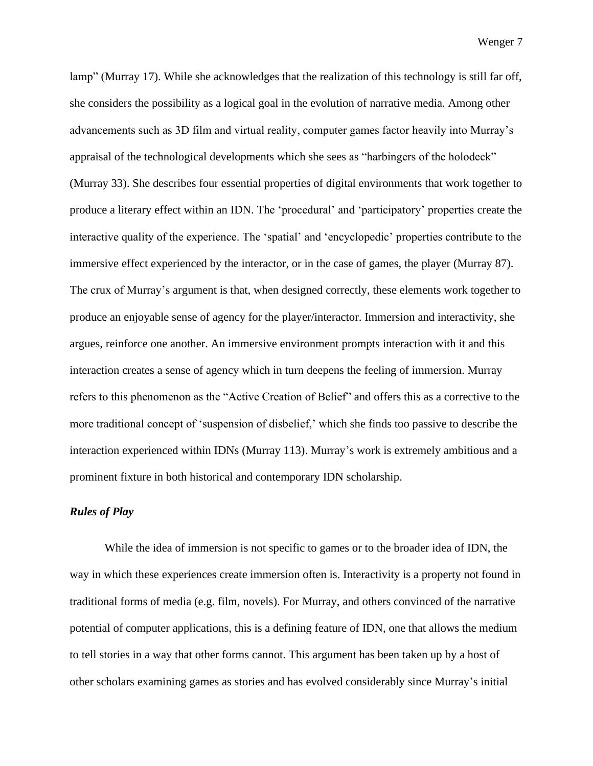lamp" (Murray 17). While she acknowledges that the realization of this technology is still far off, she considers the possibility as a logical goal in the evolution of narrative media. Among other advancements such as 3D film and virtual reality, computer games factor heavily into Murray's appraisal of the technological developments which she sees as "harbingers of the holodeck" (Murray 33). She describes four essential properties of digital environments that work together to produce a literary effect within an IDN. The 'procedural' and 'participatory' properties create the interactive quality of the experience. The 'spatial' and 'encyclopedic' properties contribute to the immersive effect experienced by the interactor, or in the case of games, the player (Murray 87). The crux of Murray's argument is that, when designed correctly, these elements work together to produce an enjoyable sense of agency for the player/interactor. Immersion and interactivity, she argues, reinforce one another. An immersive environment prompts interaction with it and this interaction creates a sense of agency which in turn deepens the feeling of immersion. Murray refers to this phenomenon as the "Active Creation of Belief" and offers this as a corrective to the more traditional concept of 'suspension of disbelief,' which she finds too passive to describe the interaction experienced within IDNs (Murray 113). Murray's work is extremely ambitious and a prominent fixture in both historical and contemporary IDN scholarship.

## *Rules of Play*

While the idea of immersion is not specific to games or to the broader idea of IDN, the way in which these experiences create immersion often is. Interactivity is a property not found in traditional forms of media (e.g. film, novels). For Murray, and others convinced of the narrative potential of computer applications, this is a defining feature of IDN, one that allows the medium to tell stories in a way that other forms cannot. This argument has been taken up by a host of other scholars examining games as stories and has evolved considerably since Murray's initial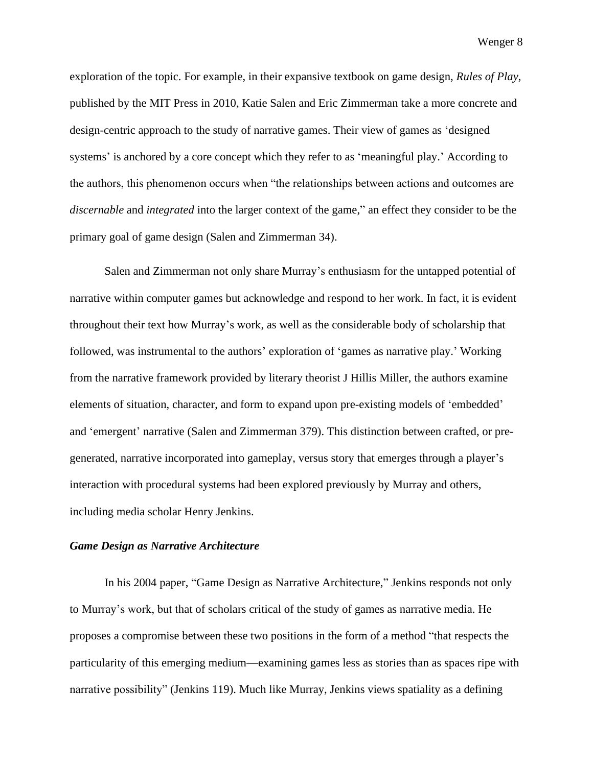exploration of the topic. For example, in their expansive textbook on game design, *Rules of Play*, published by the MIT Press in 2010, Katie Salen and Eric Zimmerman take a more concrete and design-centric approach to the study of narrative games. Their view of games as 'designed systems' is anchored by a core concept which they refer to as 'meaningful play.' According to the authors, this phenomenon occurs when "the relationships between actions and outcomes are *discernable* and *integrated* into the larger context of the game," an effect they consider to be the primary goal of game design (Salen and Zimmerman 34).

Salen and Zimmerman not only share Murray's enthusiasm for the untapped potential of narrative within computer games but acknowledge and respond to her work. In fact, it is evident throughout their text how Murray's work, as well as the considerable body of scholarship that followed, was instrumental to the authors' exploration of 'games as narrative play.' Working from the narrative framework provided by literary theorist J Hillis Miller, the authors examine elements of situation, character, and form to expand upon pre-existing models of 'embedded' and 'emergent' narrative (Salen and Zimmerman 379). This distinction between crafted, or pregenerated, narrative incorporated into gameplay, versus story that emerges through a player's interaction with procedural systems had been explored previously by Murray and others, including media scholar Henry Jenkins.

### *Game Design as Narrative Architecture*

In his 2004 paper, "Game Design as Narrative Architecture," Jenkins responds not only to Murray's work, but that of scholars critical of the study of games as narrative media. He proposes a compromise between these two positions in the form of a method "that respects the particularity of this emerging medium—examining games less as stories than as spaces ripe with narrative possibility" (Jenkins 119). Much like Murray, Jenkins views spatiality as a defining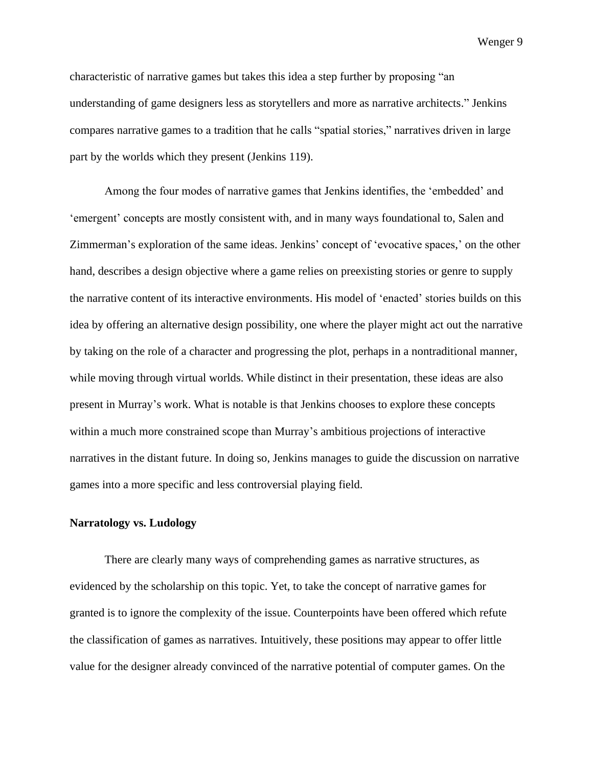characteristic of narrative games but takes this idea a step further by proposing "an understanding of game designers less as storytellers and more as narrative architects." Jenkins compares narrative games to a tradition that he calls "spatial stories," narratives driven in large part by the worlds which they present (Jenkins 119).

Among the four modes of narrative games that Jenkins identifies, the 'embedded' and 'emergent' concepts are mostly consistent with, and in many ways foundational to, Salen and Zimmerman's exploration of the same ideas. Jenkins' concept of 'evocative spaces,' on the other hand, describes a design objective where a game relies on preexisting stories or genre to supply the narrative content of its interactive environments. His model of 'enacted' stories builds on this idea by offering an alternative design possibility, one where the player might act out the narrative by taking on the role of a character and progressing the plot, perhaps in a nontraditional manner, while moving through virtual worlds. While distinct in their presentation, these ideas are also present in Murray's work. What is notable is that Jenkins chooses to explore these concepts within a much more constrained scope than Murray's ambitious projections of interactive narratives in the distant future. In doing so, Jenkins manages to guide the discussion on narrative games into a more specific and less controversial playing field.

## **Narratology vs. Ludology**

There are clearly many ways of comprehending games as narrative structures, as evidenced by the scholarship on this topic. Yet, to take the concept of narrative games for granted is to ignore the complexity of the issue. Counterpoints have been offered which refute the classification of games as narratives. Intuitively, these positions may appear to offer little value for the designer already convinced of the narrative potential of computer games. On the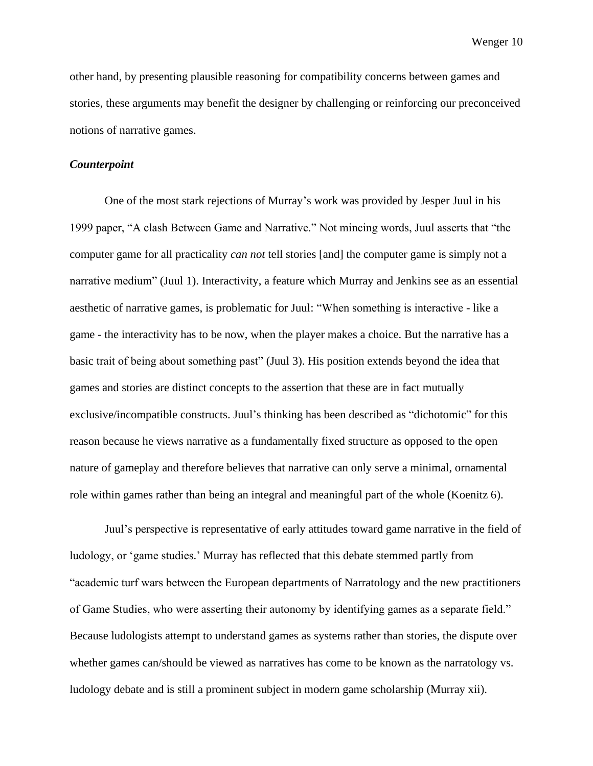other hand, by presenting plausible reasoning for compatibility concerns between games and stories, these arguments may benefit the designer by challenging or reinforcing our preconceived notions of narrative games.

## *Counterpoint*

One of the most stark rejections of Murray's work was provided by Jesper Juul in his 1999 paper, "A clash Between Game and Narrative." Not mincing words, Juul asserts that "the computer game for all practicality *can not* tell stories [and] the computer game is simply not a narrative medium" (Juul 1). Interactivity, a feature which Murray and Jenkins see as an essential aesthetic of narrative games, is problematic for Juul: "When something is interactive - like a game - the interactivity has to be now, when the player makes a choice. But the narrative has a basic trait of being about something past" (Juul 3). His position extends beyond the idea that games and stories are distinct concepts to the assertion that these are in fact mutually exclusive/incompatible constructs. Juul's thinking has been described as "dichotomic" for this reason because he views narrative as a fundamentally fixed structure as opposed to the open nature of gameplay and therefore believes that narrative can only serve a minimal, ornamental role within games rather than being an integral and meaningful part of the whole (Koenitz 6).

Juul's perspective is representative of early attitudes toward game narrative in the field of ludology, or 'game studies.' Murray has reflected that this debate stemmed partly from "academic turf wars between the European departments of Narratology and the new practitioners of Game Studies, who were asserting their autonomy by identifying games as a separate field." Because ludologists attempt to understand games as systems rather than stories, the dispute over whether games can/should be viewed as narratives has come to be known as the narratology vs. ludology debate and is still a prominent subject in modern game scholarship (Murray xii).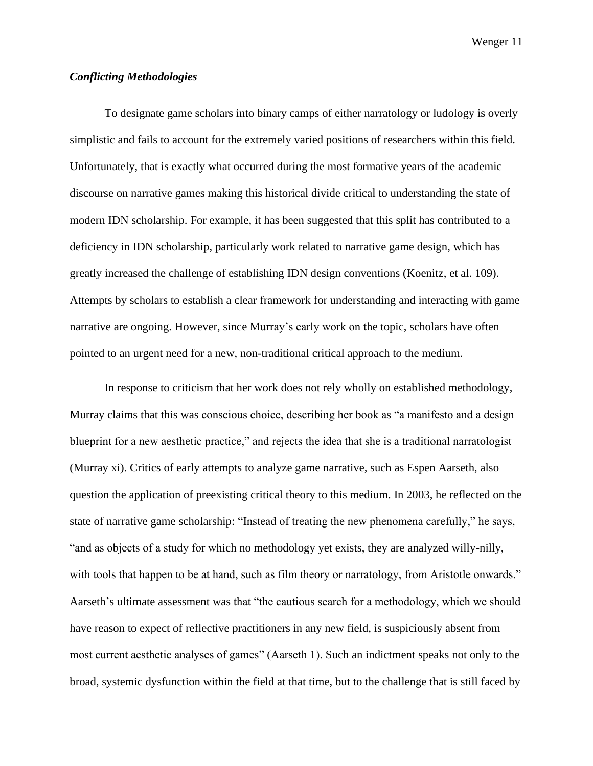## *Conflicting Methodologies*

To designate game scholars into binary camps of either narratology or ludology is overly simplistic and fails to account for the extremely varied positions of researchers within this field. Unfortunately, that is exactly what occurred during the most formative years of the academic discourse on narrative games making this historical divide critical to understanding the state of modern IDN scholarship. For example, it has been suggested that this split has contributed to a deficiency in IDN scholarship, particularly work related to narrative game design, which has greatly increased the challenge of establishing IDN design conventions (Koenitz, et al. 109). Attempts by scholars to establish a clear framework for understanding and interacting with game narrative are ongoing. However, since Murray's early work on the topic, scholars have often pointed to an urgent need for a new, non-traditional critical approach to the medium.

In response to criticism that her work does not rely wholly on established methodology, Murray claims that this was conscious choice, describing her book as "a manifesto and a design blueprint for a new aesthetic practice," and rejects the idea that she is a traditional narratologist (Murray xi). Critics of early attempts to analyze game narrative, such as Espen Aarseth, also question the application of preexisting critical theory to this medium. In 2003, he reflected on the state of narrative game scholarship: "Instead of treating the new phenomena carefully," he says, "and as objects of a study for which no methodology yet exists, they are analyzed willy-nilly, with tools that happen to be at hand, such as film theory or narratology, from Aristotle onwards." Aarseth's ultimate assessment was that "the cautious search for a methodology, which we should have reason to expect of reflective practitioners in any new field, is suspiciously absent from most current aesthetic analyses of games" (Aarseth 1). Such an indictment speaks not only to the broad, systemic dysfunction within the field at that time, but to the challenge that is still faced by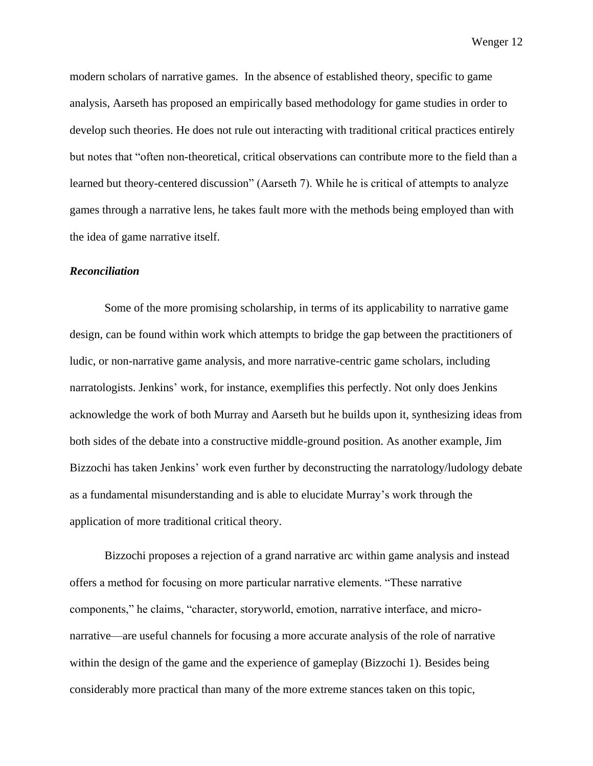modern scholars of narrative games. In the absence of established theory, specific to game analysis, Aarseth has proposed an empirically based methodology for game studies in order to develop such theories. He does not rule out interacting with traditional critical practices entirely but notes that "often non-theoretical, critical observations can contribute more to the field than a learned but theory-centered discussion" (Aarseth 7). While he is critical of attempts to analyze games through a narrative lens, he takes fault more with the methods being employed than with the idea of game narrative itself.

## *Reconciliation*

Some of the more promising scholarship, in terms of its applicability to narrative game design, can be found within work which attempts to bridge the gap between the practitioners of ludic, or non-narrative game analysis, and more narrative-centric game scholars, including narratologists. Jenkins' work, for instance, exemplifies this perfectly. Not only does Jenkins acknowledge the work of both Murray and Aarseth but he builds upon it, synthesizing ideas from both sides of the debate into a constructive middle-ground position. As another example, Jim Bizzochi has taken Jenkins' work even further by deconstructing the narratology/ludology debate as a fundamental misunderstanding and is able to elucidate Murray's work through the application of more traditional critical theory.

Bizzochi proposes a rejection of a grand narrative arc within game analysis and instead offers a method for focusing on more particular narrative elements. "These narrative components," he claims, "character, storyworld, emotion, narrative interface, and micronarrative—are useful channels for focusing a more accurate analysis of the role of narrative within the design of the game and the experience of gameplay (Bizzochi 1). Besides being considerably more practical than many of the more extreme stances taken on this topic,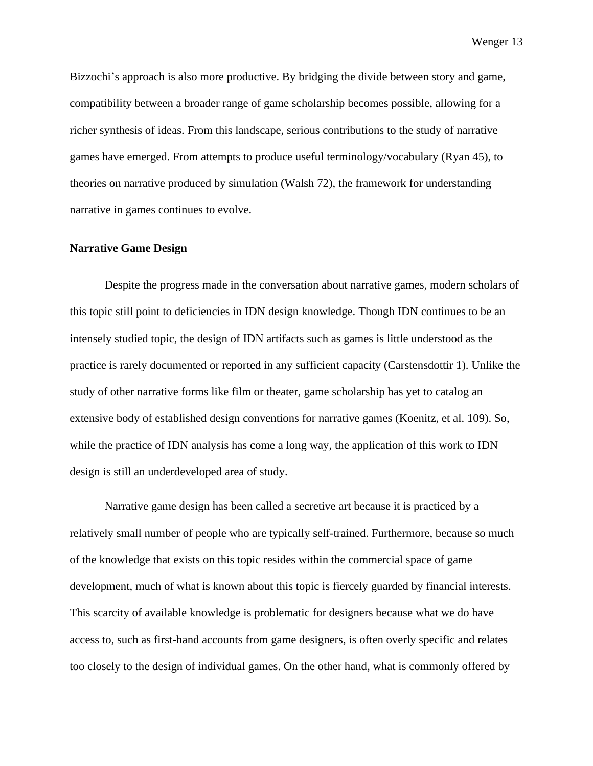Bizzochi's approach is also more productive. By bridging the divide between story and game, compatibility between a broader range of game scholarship becomes possible, allowing for a richer synthesis of ideas. From this landscape, serious contributions to the study of narrative games have emerged. From attempts to produce useful terminology/vocabulary (Ryan 45), to theories on narrative produced by simulation (Walsh 72), the framework for understanding narrative in games continues to evolve.

### **Narrative Game Design**

Despite the progress made in the conversation about narrative games, modern scholars of this topic still point to deficiencies in IDN design knowledge. Though IDN continues to be an intensely studied topic, the design of IDN artifacts such as games is little understood as the practice is rarely documented or reported in any sufficient capacity (Carstensdottir 1). Unlike the study of other narrative forms like film or theater, game scholarship has yet to catalog an extensive body of established design conventions for narrative games (Koenitz, et al. 109). So, while the practice of IDN analysis has come a long way, the application of this work to IDN design is still an underdeveloped area of study.

Narrative game design has been called a secretive art because it is practiced by a relatively small number of people who are typically self-trained. Furthermore, because so much of the knowledge that exists on this topic resides within the commercial space of game development, much of what is known about this topic is fiercely guarded by financial interests. This scarcity of available knowledge is problematic for designers because what we do have access to, such as first-hand accounts from game designers, is often overly specific and relates too closely to the design of individual games. On the other hand, what is commonly offered by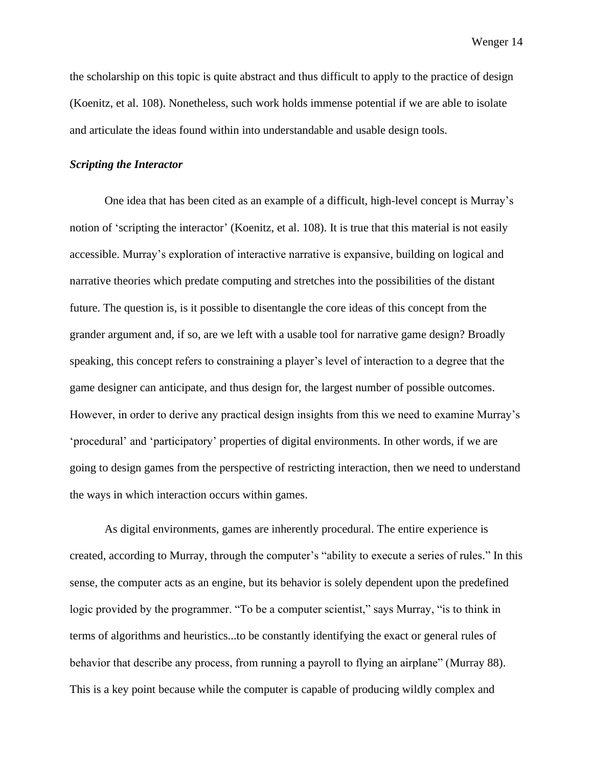the scholarship on this topic is quite abstract and thus difficult to apply to the practice of design (Koenitz, et al. 108). Nonetheless, such work holds immense potential if we are able to isolate and articulate the ideas found within into understandable and usable design tools.

## *Scripting the Interactor*

One idea that has been cited as an example of a difficult, high-level concept is Murray's notion of 'scripting the interactor' (Koenitz, et al. 108). It is true that this material is not easily accessible. Murray's exploration of interactive narrative is expansive, building on logical and narrative theories which predate computing and stretches into the possibilities of the distant future. The question is, is it possible to disentangle the core ideas of this concept from the grander argument and, if so, are we left with a usable tool for narrative game design? Broadly speaking, this concept refers to constraining a player's level of interaction to a degree that the game designer can anticipate, and thus design for, the largest number of possible outcomes. However, in order to derive any practical design insights from this we need to examine Murray's 'procedural' and 'participatory' properties of digital environments. In other words, if we are going to design games from the perspective of restricting interaction, then we need to understand the ways in which interaction occurs within games.

As digital environments, games are inherently procedural. The entire experience is created, according to Murray, through the computer's "ability to execute a series of rules." In this sense, the computer acts as an engine, but its behavior is solely dependent upon the predefined logic provided by the programmer. "To be a computer scientist," says Murray, "is to think in terms of algorithms and heuristics...to be constantly identifying the exact or general rules of behavior that describe any process, from running a payroll to flying an airplane" (Murray 88). This is a key point because while the computer is capable of producing wildly complex and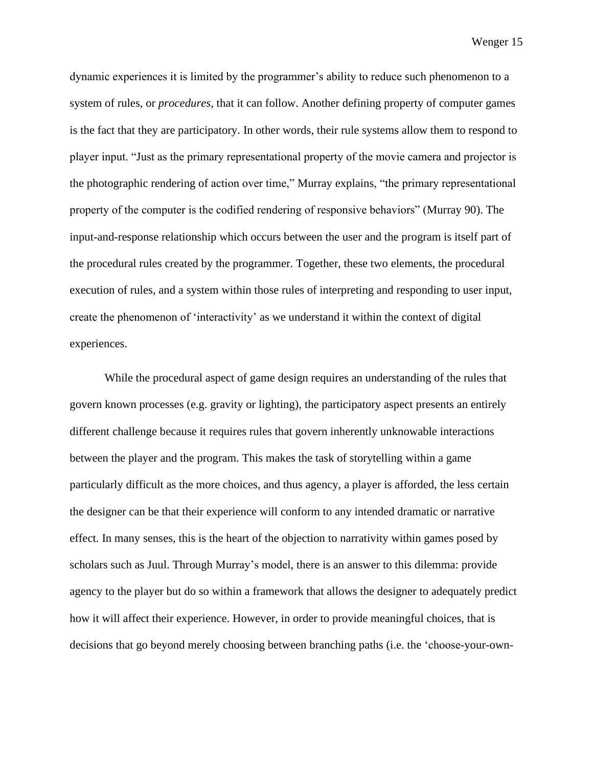dynamic experiences it is limited by the programmer's ability to reduce such phenomenon to a system of rules, or *procedures*, that it can follow. Another defining property of computer games is the fact that they are participatory. In other words, their rule systems allow them to respond to player input. "Just as the primary representational property of the movie camera and projector is the photographic rendering of action over time," Murray explains, "the primary representational property of the computer is the codified rendering of responsive behaviors" (Murray 90). The input-and-response relationship which occurs between the user and the program is itself part of the procedural rules created by the programmer. Together, these two elements, the procedural execution of rules, and a system within those rules of interpreting and responding to user input, create the phenomenon of 'interactivity' as we understand it within the context of digital experiences.

While the procedural aspect of game design requires an understanding of the rules that govern known processes (e.g. gravity or lighting), the participatory aspect presents an entirely different challenge because it requires rules that govern inherently unknowable interactions between the player and the program. This makes the task of storytelling within a game particularly difficult as the more choices, and thus agency, a player is afforded, the less certain the designer can be that their experience will conform to any intended dramatic or narrative effect. In many senses, this is the heart of the objection to narrativity within games posed by scholars such as Juul. Through Murray's model, there is an answer to this dilemma: provide agency to the player but do so within a framework that allows the designer to adequately predict how it will affect their experience. However, in order to provide meaningful choices, that is decisions that go beyond merely choosing between branching paths (i.e. the 'choose-your-own-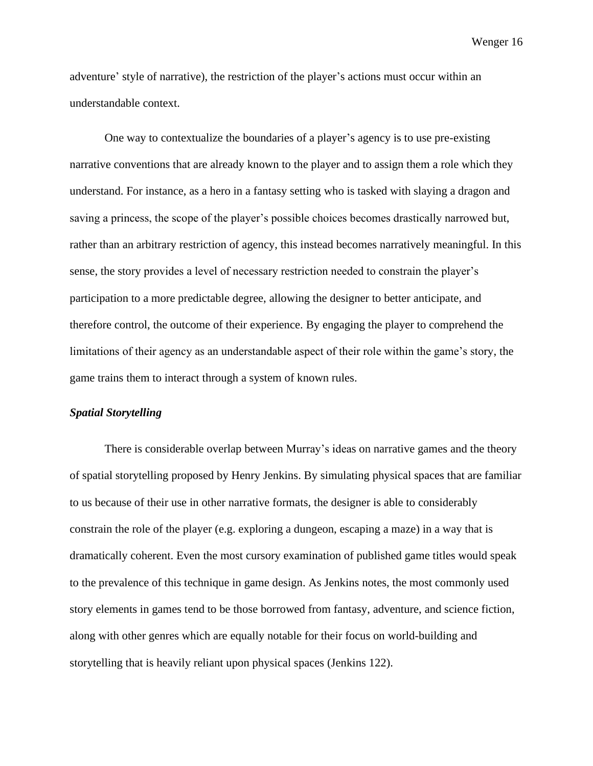adventure' style of narrative), the restriction of the player's actions must occur within an understandable context.

One way to contextualize the boundaries of a player's agency is to use pre-existing narrative conventions that are already known to the player and to assign them a role which they understand. For instance, as a hero in a fantasy setting who is tasked with slaying a dragon and saving a princess, the scope of the player's possible choices becomes drastically narrowed but, rather than an arbitrary restriction of agency, this instead becomes narratively meaningful. In this sense, the story provides a level of necessary restriction needed to constrain the player's participation to a more predictable degree, allowing the designer to better anticipate, and therefore control, the outcome of their experience. By engaging the player to comprehend the limitations of their agency as an understandable aspect of their role within the game's story, the game trains them to interact through a system of known rules.

## *Spatial Storytelling*

There is considerable overlap between Murray's ideas on narrative games and the theory of spatial storytelling proposed by Henry Jenkins. By simulating physical spaces that are familiar to us because of their use in other narrative formats, the designer is able to considerably constrain the role of the player (e.g. exploring a dungeon, escaping a maze) in a way that is dramatically coherent. Even the most cursory examination of published game titles would speak to the prevalence of this technique in game design. As Jenkins notes, the most commonly used story elements in games tend to be those borrowed from fantasy, adventure, and science fiction, along with other genres which are equally notable for their focus on world-building and storytelling that is heavily reliant upon physical spaces (Jenkins 122).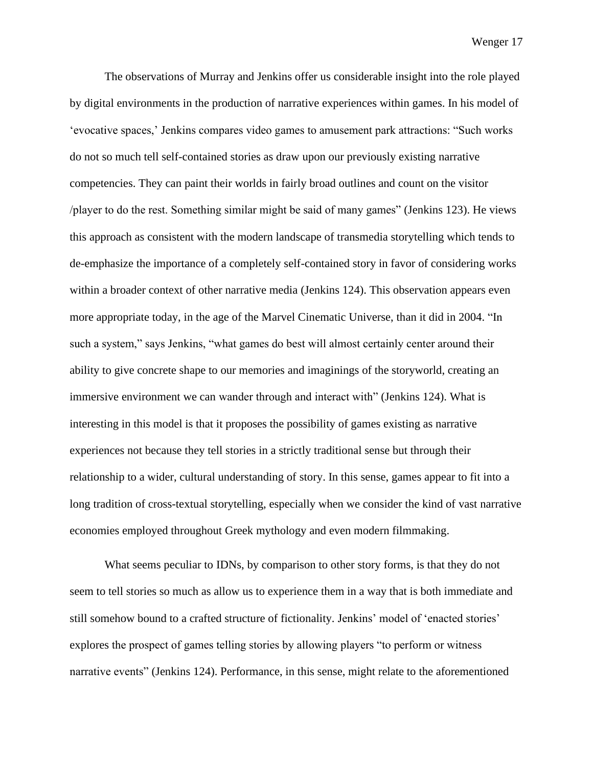The observations of Murray and Jenkins offer us considerable insight into the role played by digital environments in the production of narrative experiences within games. In his model of 'evocative spaces,' Jenkins compares video games to amusement park attractions: "Such works do not so much tell self-contained stories as draw upon our previously existing narrative competencies. They can paint their worlds in fairly broad outlines and count on the visitor /player to do the rest. Something similar might be said of many games" (Jenkins 123). He views this approach as consistent with the modern landscape of transmedia storytelling which tends to de-emphasize the importance of a completely self-contained story in favor of considering works within a broader context of other narrative media (Jenkins 124). This observation appears even more appropriate today, in the age of the Marvel Cinematic Universe, than it did in 2004. "In such a system," says Jenkins, "what games do best will almost certainly center around their ability to give concrete shape to our memories and imaginings of the storyworld, creating an immersive environment we can wander through and interact with" (Jenkins 124). What is interesting in this model is that it proposes the possibility of games existing as narrative experiences not because they tell stories in a strictly traditional sense but through their relationship to a wider, cultural understanding of story. In this sense, games appear to fit into a long tradition of cross-textual storytelling, especially when we consider the kind of vast narrative economies employed throughout Greek mythology and even modern filmmaking.

What seems peculiar to IDNs, by comparison to other story forms, is that they do not seem to tell stories so much as allow us to experience them in a way that is both immediate and still somehow bound to a crafted structure of fictionality. Jenkins' model of 'enacted stories' explores the prospect of games telling stories by allowing players "to perform or witness narrative events" (Jenkins 124). Performance, in this sense, might relate to the aforementioned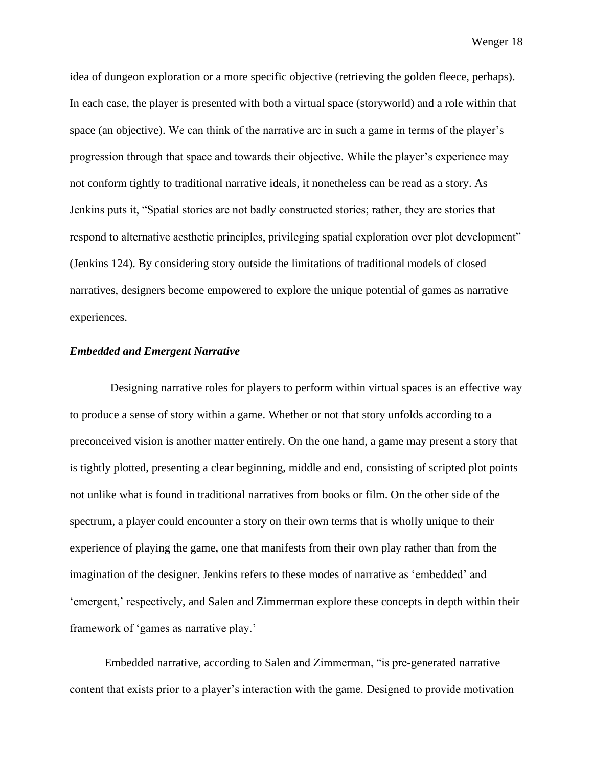idea of dungeon exploration or a more specific objective (retrieving the golden fleece, perhaps). In each case, the player is presented with both a virtual space (storyworld) and a role within that space (an objective). We can think of the narrative arc in such a game in terms of the player's progression through that space and towards their objective. While the player's experience may not conform tightly to traditional narrative ideals, it nonetheless can be read as a story. As Jenkins puts it, "Spatial stories are not badly constructed stories; rather, they are stories that respond to alternative aesthetic principles, privileging spatial exploration over plot development" (Jenkins 124). By considering story outside the limitations of traditional models of closed narratives, designers become empowered to explore the unique potential of games as narrative experiences.

## *Embedded and Emergent Narrative*

 Designing narrative roles for players to perform within virtual spaces is an effective way to produce a sense of story within a game. Whether or not that story unfolds according to a preconceived vision is another matter entirely. On the one hand, a game may present a story that is tightly plotted, presenting a clear beginning, middle and end, consisting of scripted plot points not unlike what is found in traditional narratives from books or film. On the other side of the spectrum, a player could encounter a story on their own terms that is wholly unique to their experience of playing the game, one that manifests from their own play rather than from the imagination of the designer. Jenkins refers to these modes of narrative as 'embedded' and 'emergent,' respectively, and Salen and Zimmerman explore these concepts in depth within their framework of 'games as narrative play.'

Embedded narrative, according to Salen and Zimmerman, "is pre-generated narrative content that exists prior to a player's interaction with the game. Designed to provide motivation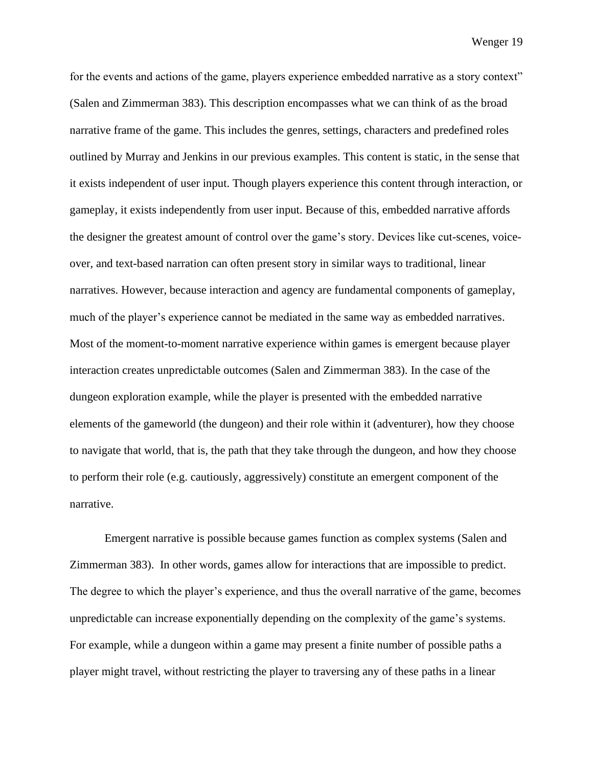for the events and actions of the game, players experience embedded narrative as a story context" (Salen and Zimmerman 383). This description encompasses what we can think of as the broad narrative frame of the game. This includes the genres, settings, characters and predefined roles outlined by Murray and Jenkins in our previous examples. This content is static, in the sense that it exists independent of user input. Though players experience this content through interaction, or gameplay, it exists independently from user input. Because of this, embedded narrative affords the designer the greatest amount of control over the game's story. Devices like cut-scenes, voiceover, and text-based narration can often present story in similar ways to traditional, linear narratives. However, because interaction and agency are fundamental components of gameplay, much of the player's experience cannot be mediated in the same way as embedded narratives. Most of the moment-to-moment narrative experience within games is emergent because player interaction creates unpredictable outcomes (Salen and Zimmerman 383). In the case of the dungeon exploration example, while the player is presented with the embedded narrative elements of the gameworld (the dungeon) and their role within it (adventurer), how they choose to navigate that world, that is, the path that they take through the dungeon, and how they choose to perform their role (e.g. cautiously, aggressively) constitute an emergent component of the narrative.

Emergent narrative is possible because games function as complex systems (Salen and Zimmerman 383). In other words, games allow for interactions that are impossible to predict. The degree to which the player's experience, and thus the overall narrative of the game, becomes unpredictable can increase exponentially depending on the complexity of the game's systems. For example, while a dungeon within a game may present a finite number of possible paths a player might travel, without restricting the player to traversing any of these paths in a linear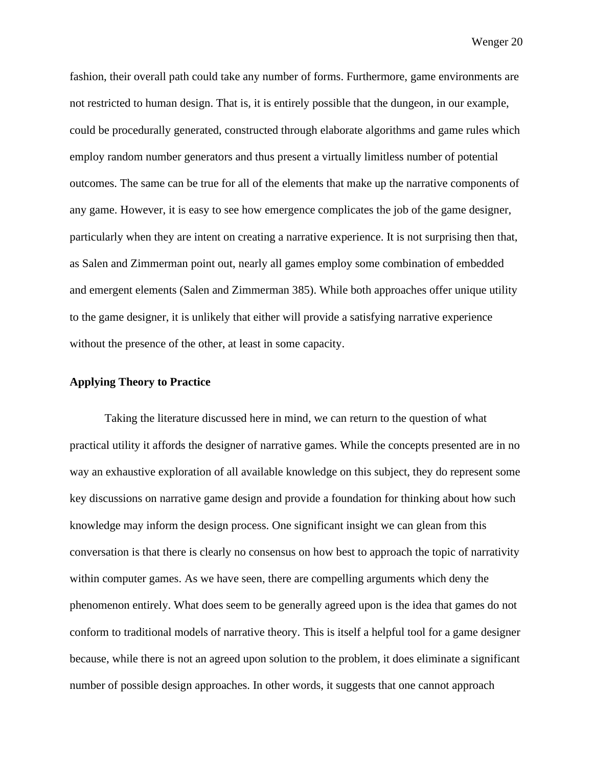fashion, their overall path could take any number of forms. Furthermore, game environments are not restricted to human design. That is, it is entirely possible that the dungeon, in our example, could be procedurally generated, constructed through elaborate algorithms and game rules which employ random number generators and thus present a virtually limitless number of potential outcomes. The same can be true for all of the elements that make up the narrative components of any game. However, it is easy to see how emergence complicates the job of the game designer, particularly when they are intent on creating a narrative experience. It is not surprising then that, as Salen and Zimmerman point out, nearly all games employ some combination of embedded and emergent elements (Salen and Zimmerman 385). While both approaches offer unique utility to the game designer, it is unlikely that either will provide a satisfying narrative experience without the presence of the other, at least in some capacity.

### **Applying Theory to Practice**

Taking the literature discussed here in mind, we can return to the question of what practical utility it affords the designer of narrative games. While the concepts presented are in no way an exhaustive exploration of all available knowledge on this subject, they do represent some key discussions on narrative game design and provide a foundation for thinking about how such knowledge may inform the design process. One significant insight we can glean from this conversation is that there is clearly no consensus on how best to approach the topic of narrativity within computer games. As we have seen, there are compelling arguments which deny the phenomenon entirely. What does seem to be generally agreed upon is the idea that games do not conform to traditional models of narrative theory. This is itself a helpful tool for a game designer because, while there is not an agreed upon solution to the problem, it does eliminate a significant number of possible design approaches. In other words, it suggests that one cannot approach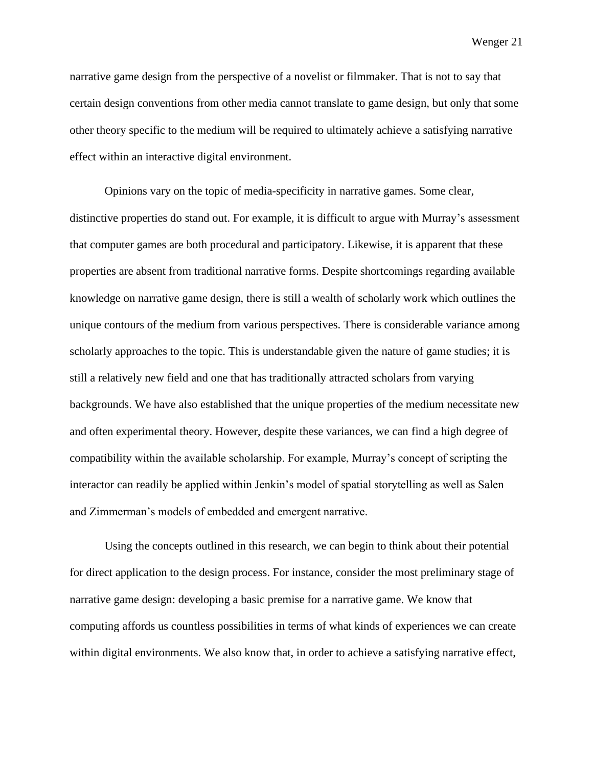narrative game design from the perspective of a novelist or filmmaker. That is not to say that certain design conventions from other media cannot translate to game design, but only that some other theory specific to the medium will be required to ultimately achieve a satisfying narrative effect within an interactive digital environment.

Opinions vary on the topic of media-specificity in narrative games. Some clear, distinctive properties do stand out. For example, it is difficult to argue with Murray's assessment that computer games are both procedural and participatory. Likewise, it is apparent that these properties are absent from traditional narrative forms. Despite shortcomings regarding available knowledge on narrative game design, there is still a wealth of scholarly work which outlines the unique contours of the medium from various perspectives. There is considerable variance among scholarly approaches to the topic. This is understandable given the nature of game studies; it is still a relatively new field and one that has traditionally attracted scholars from varying backgrounds. We have also established that the unique properties of the medium necessitate new and often experimental theory. However, despite these variances, we can find a high degree of compatibility within the available scholarship. For example, Murray's concept of scripting the interactor can readily be applied within Jenkin's model of spatial storytelling as well as Salen and Zimmerman's models of embedded and emergent narrative.

Using the concepts outlined in this research, we can begin to think about their potential for direct application to the design process. For instance, consider the most preliminary stage of narrative game design: developing a basic premise for a narrative game. We know that computing affords us countless possibilities in terms of what kinds of experiences we can create within digital environments. We also know that, in order to achieve a satisfying narrative effect,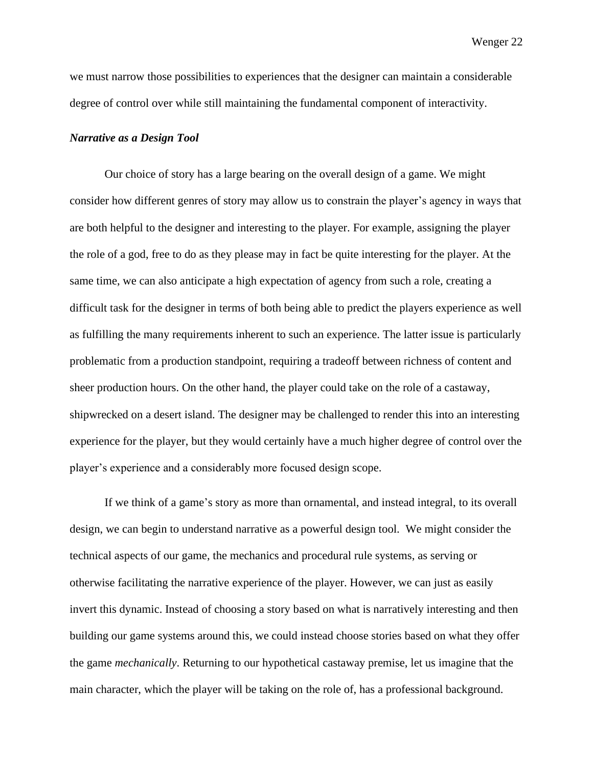we must narrow those possibilities to experiences that the designer can maintain a considerable degree of control over while still maintaining the fundamental component of interactivity.

#### *Narrative as a Design Tool*

Our choice of story has a large bearing on the overall design of a game. We might consider how different genres of story may allow us to constrain the player's agency in ways that are both helpful to the designer and interesting to the player. For example, assigning the player the role of a god, free to do as they please may in fact be quite interesting for the player. At the same time, we can also anticipate a high expectation of agency from such a role, creating a difficult task for the designer in terms of both being able to predict the players experience as well as fulfilling the many requirements inherent to such an experience. The latter issue is particularly problematic from a production standpoint, requiring a tradeoff between richness of content and sheer production hours. On the other hand, the player could take on the role of a castaway, shipwrecked on a desert island. The designer may be challenged to render this into an interesting experience for the player, but they would certainly have a much higher degree of control over the player's experience and a considerably more focused design scope.

If we think of a game's story as more than ornamental, and instead integral, to its overall design, we can begin to understand narrative as a powerful design tool. We might consider the technical aspects of our game, the mechanics and procedural rule systems, as serving or otherwise facilitating the narrative experience of the player. However, we can just as easily invert this dynamic. Instead of choosing a story based on what is narratively interesting and then building our game systems around this, we could instead choose stories based on what they offer the game *mechanically*. Returning to our hypothetical castaway premise, let us imagine that the main character, which the player will be taking on the role of, has a professional background.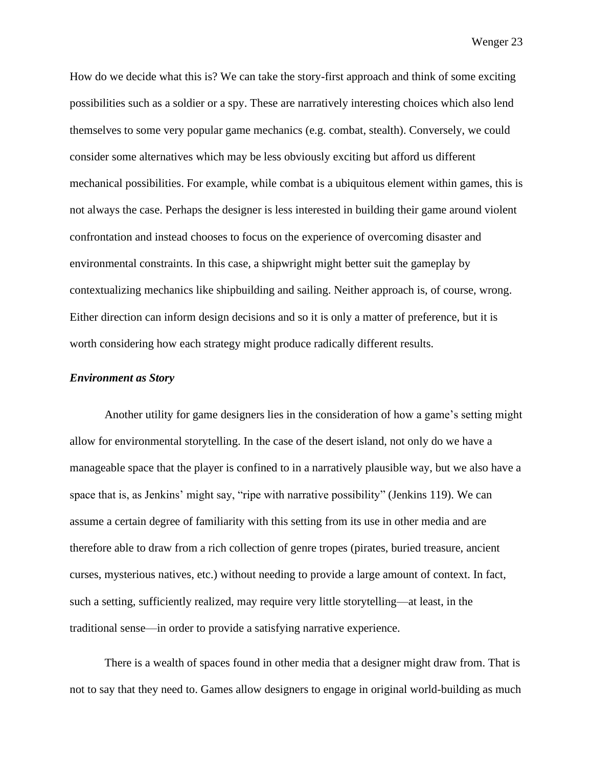How do we decide what this is? We can take the story-first approach and think of some exciting possibilities such as a soldier or a spy. These are narratively interesting choices which also lend themselves to some very popular game mechanics (e.g. combat, stealth). Conversely, we could consider some alternatives which may be less obviously exciting but afford us different mechanical possibilities. For example, while combat is a ubiquitous element within games, this is not always the case. Perhaps the designer is less interested in building their game around violent confrontation and instead chooses to focus on the experience of overcoming disaster and environmental constraints. In this case, a shipwright might better suit the gameplay by contextualizing mechanics like shipbuilding and sailing. Neither approach is, of course, wrong. Either direction can inform design decisions and so it is only a matter of preference, but it is worth considering how each strategy might produce radically different results.

#### *Environment as Story*

Another utility for game designers lies in the consideration of how a game's setting might allow for environmental storytelling. In the case of the desert island, not only do we have a manageable space that the player is confined to in a narratively plausible way, but we also have a space that is, as Jenkins' might say, "ripe with narrative possibility" (Jenkins 119). We can assume a certain degree of familiarity with this setting from its use in other media and are therefore able to draw from a rich collection of genre tropes (pirates, buried treasure, ancient curses, mysterious natives, etc.) without needing to provide a large amount of context. In fact, such a setting, sufficiently realized, may require very little storytelling—at least, in the traditional sense—in order to provide a satisfying narrative experience.

There is a wealth of spaces found in other media that a designer might draw from. That is not to say that they need to. Games allow designers to engage in original world-building as much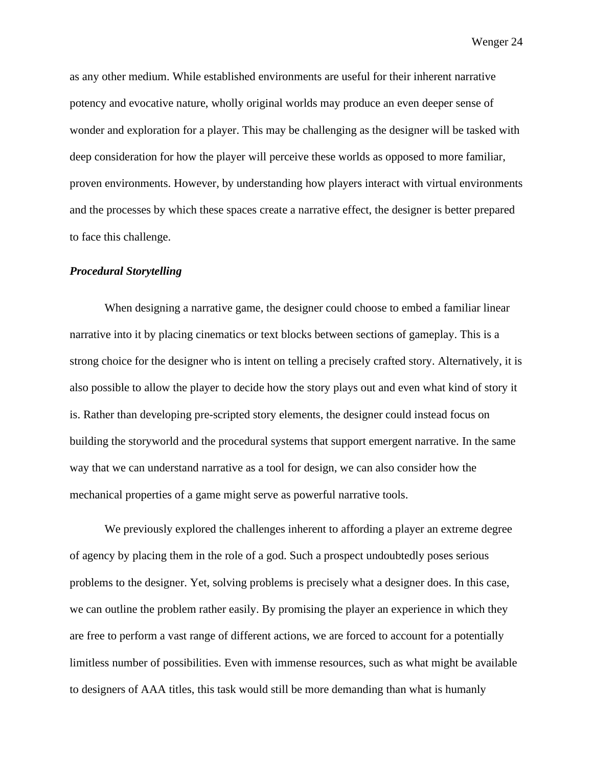as any other medium. While established environments are useful for their inherent narrative potency and evocative nature, wholly original worlds may produce an even deeper sense of wonder and exploration for a player. This may be challenging as the designer will be tasked with deep consideration for how the player will perceive these worlds as opposed to more familiar, proven environments. However, by understanding how players interact with virtual environments and the processes by which these spaces create a narrative effect, the designer is better prepared to face this challenge.

## *Procedural Storytelling*

When designing a narrative game, the designer could choose to embed a familiar linear narrative into it by placing cinematics or text blocks between sections of gameplay. This is a strong choice for the designer who is intent on telling a precisely crafted story. Alternatively, it is also possible to allow the player to decide how the story plays out and even what kind of story it is. Rather than developing pre-scripted story elements, the designer could instead focus on building the storyworld and the procedural systems that support emergent narrative. In the same way that we can understand narrative as a tool for design, we can also consider how the mechanical properties of a game might serve as powerful narrative tools.

We previously explored the challenges inherent to affording a player an extreme degree of agency by placing them in the role of a god. Such a prospect undoubtedly poses serious problems to the designer. Yet, solving problems is precisely what a designer does. In this case, we can outline the problem rather easily. By promising the player an experience in which they are free to perform a vast range of different actions, we are forced to account for a potentially limitless number of possibilities. Even with immense resources, such as what might be available to designers of AAA titles, this task would still be more demanding than what is humanly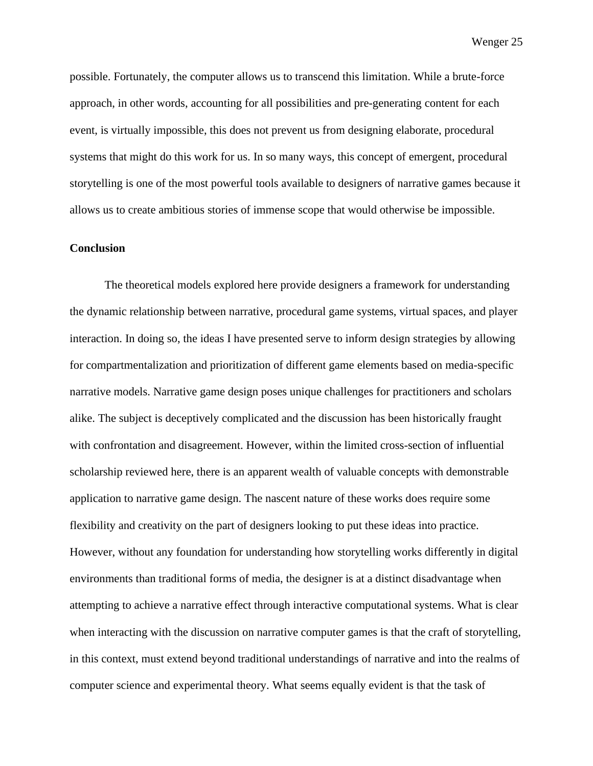possible. Fortunately, the computer allows us to transcend this limitation. While a brute-force approach, in other words, accounting for all possibilities and pre-generating content for each event, is virtually impossible, this does not prevent us from designing elaborate, procedural systems that might do this work for us. In so many ways, this concept of emergent, procedural storytelling is one of the most powerful tools available to designers of narrative games because it allows us to create ambitious stories of immense scope that would otherwise be impossible.

## **Conclusion**

The theoretical models explored here provide designers a framework for understanding the dynamic relationship between narrative, procedural game systems, virtual spaces, and player interaction. In doing so, the ideas I have presented serve to inform design strategies by allowing for compartmentalization and prioritization of different game elements based on media-specific narrative models. Narrative game design poses unique challenges for practitioners and scholars alike. The subject is deceptively complicated and the discussion has been historically fraught with confrontation and disagreement. However, within the limited cross-section of influential scholarship reviewed here, there is an apparent wealth of valuable concepts with demonstrable application to narrative game design. The nascent nature of these works does require some flexibility and creativity on the part of designers looking to put these ideas into practice. However, without any foundation for understanding how storytelling works differently in digital environments than traditional forms of media, the designer is at a distinct disadvantage when attempting to achieve a narrative effect through interactive computational systems. What is clear when interacting with the discussion on narrative computer games is that the craft of storytelling, in this context, must extend beyond traditional understandings of narrative and into the realms of computer science and experimental theory. What seems equally evident is that the task of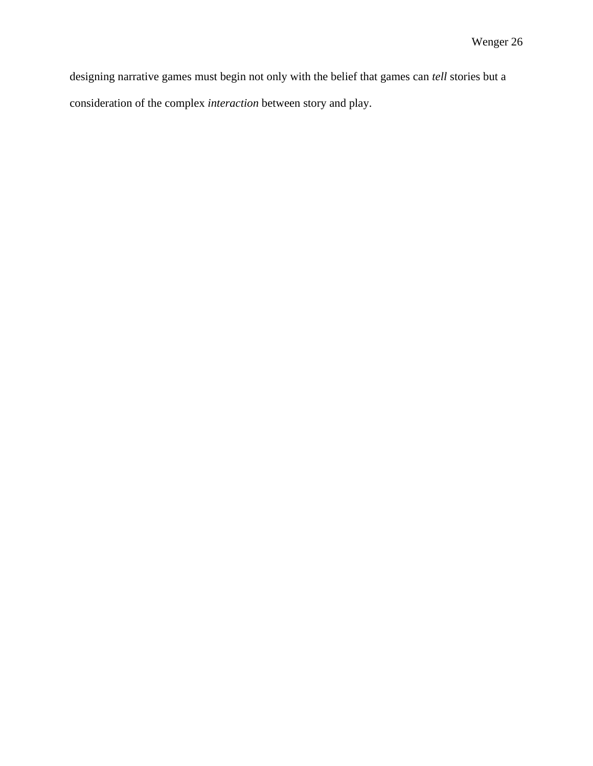designing narrative games must begin not only with the belief that games can *tell* stories but a consideration of the complex *interaction* between story and play.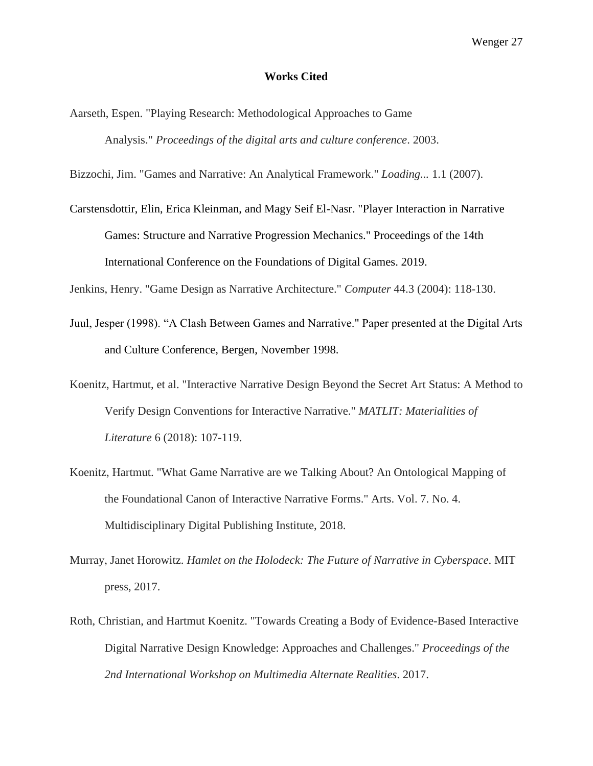### **Works Cited**

Aarseth, Espen. "Playing Research: Methodological Approaches to Game Analysis." *Proceedings of the digital arts and culture conference*. 2003.

Bizzochi, Jim. "Games and Narrative: An Analytical Framework." *Loading...* 1.1 (2007).

Carstensdottir, Elin, Erica Kleinman, and Magy Seif El-Nasr. "Player Interaction in Narrative Games: Structure and Narrative Progression Mechanics." Proceedings of the 14th International Conference on the Foundations of Digital Games. 2019.

Jenkins, Henry. "Game Design as Narrative Architecture." *Computer* 44.3 (2004): 118-130.

- Juul, Jesper (1998). "A Clash Between Games and Narrative." Paper presented at the Digital Arts and Culture Conference, Bergen, November 1998.
- Koenitz, Hartmut, et al. "Interactive Narrative Design Beyond the Secret Art Status: A Method to Verify Design Conventions for Interactive Narrative." *MATLIT: Materialities of Literature* 6 (2018): 107-119.
- Koenitz, Hartmut. "What Game Narrative are we Talking About? An Ontological Mapping of the Foundational Canon of Interactive Narrative Forms." Arts. Vol. 7. No. 4. Multidisciplinary Digital Publishing Institute, 2018.
- Murray, Janet Horowitz. *Hamlet on the Holodeck: The Future of Narrative in Cyberspace*. MIT press, 2017.
- Roth, Christian, and Hartmut Koenitz. "Towards Creating a Body of Evidence-Based Interactive Digital Narrative Design Knowledge: Approaches and Challenges." *Proceedings of the 2nd International Workshop on Multimedia Alternate Realities*. 2017.